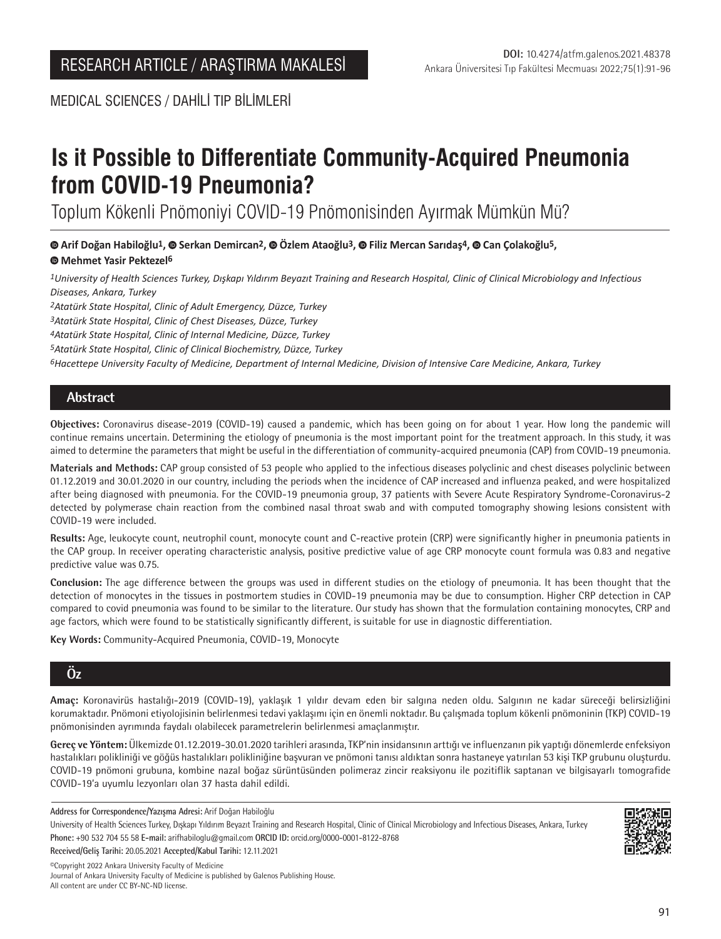MEDICAL SCIENCES / DAHİLİ TIP BİLİMLERİ

# **Is it Possible to Differentiate Community-Acquired Pneumonia from COVID-19 Pneumonia?**

Toplum Kökenli Pnömoniyi COVID-19 Pnömonisinden Ayırmak Mümkün Mü?

**Arif Doğan Habiloğlu1,Serkan Demircan2,Özlem Ataoğlu3,Filiz Mercan Sarıdaş4,Can Çolakoğlu5,** 

## **Mehmet Yasir Pektezel6**

*1University of Health Sciences Turkey, Dışkapı Yıldırım Beyazıt Training and Research Hospital, Clinic of Clinical Microbiology and Infectious Diseases, Ankara, Turkey*

*2Atatürk State Hospital, Clinic of Adult Emergency, Düzce, Turkey*

*3Atatürk State Hospital, Clinic of Chest Diseases, Düzce, Turkey*

*4Atatürk State Hospital, Clinic of Internal Medicine, Düzce, Turkey*

*5Atatürk State Hospital, Clinic of Clinical Biochemistry, Düzce, Turkey*

*6Hacettepe University Faculty of Medicine, Department of Internal Medicine, Division of Intensive Care Medicine, Ankara, Turkey*

## **Abstract**

**Objectives:** Coronavirus disease-2019 (COVID-19) caused a pandemic, which has been going on for about 1 year. How long the pandemic will continue remains uncertain. Determining the etiology of pneumonia is the most important point for the treatment approach. In this study, it was aimed to determine the parameters that might be useful in the differentiation of community-acquired pneumonia (CAP) from COVID-19 pneumonia.

**Materials and Methods:** CAP group consisted of 53 people who applied to the infectious diseases polyclinic and chest diseases polyclinic between 01.12.2019 and 30.01.2020 in our country, including the periods when the incidence of CAP increased and influenza peaked, and were hospitalized after being diagnosed with pneumonia. For the COVID-19 pneumonia group, 37 patients with Severe Acute Respiratory Syndrome-Coronavirus-2 detected by polymerase chain reaction from the combined nasal throat swab and with computed tomography showing lesions consistent with COVID-19 were included.

**Results:** Age, leukocyte count, neutrophil count, monocyte count and C-reactive protein (CRP) were significantly higher in pneumonia patients in the CAP group. In receiver operating characteristic analysis, positive predictive value of age CRP monocyte count formula was 0.83 and negative predictive value was 0.75.

**Conclusion:** The age difference between the groups was used in different studies on the etiology of pneumonia. It has been thought that the detection of monocytes in the tissues in postmortem studies in COVID-19 pneumonia may be due to consumption. Higher CRP detection in CAP compared to covid pneumonia was found to be similar to the literature. Our study has shown that the formulation containing monocytes, CRP and age factors, which were found to be statistically significantly different, is suitable for use in diagnostic differentiation.

**Key Words:** Community-Acquired Pneumonia, COVID-19, Monocyte

## **Öz**

**Amaç:** Koronavirüs hastalığı-2019 (COVID-19), yaklaşık 1 yıldır devam eden bir salgına neden oldu. Salgının ne kadar süreceği belirsizliğini korumaktadır. Pnömoni etiyolojisinin belirlenmesi tedavi yaklaşımı için en önemli noktadır. Bu çalışmada toplum kökenli pnömoninin (TKP) COVID-19 pnömonisinden ayrımında faydalı olabilecek parametrelerin belirlenmesi amaçlanmıştır.

**Gereç ve Yöntem:** Ülkemizde 01.12.2019-30.01.2020 tarihleri arasında, TKP'nin insidansının arttığı ve influenzanın pik yaptığı dönemlerde enfeksiyon hastalıkları polikliniği ve göğüs hastalıkları polikliniğine başvuran ve pnömoni tanısı aldıktan sonra hastaneye yatırılan 53 kişi TKP grubunu oluşturdu. COVID-19 pnömoni grubuna, kombine nazal boğaz sürüntüsünden polimeraz zincir reaksiyonu ile pozitiflik saptanan ve bilgisayarlı tomografide COVID-19'a uyumlu lezyonları olan 37 hasta dahil edildi.

**Address for Correspondence/Yazışma Adresi:** Arif Doğan Habiloğlu

University of Health Sciences Turkey, Dışkapı Yıldırım Beyazıt Training and Research Hospital, Clinic of Clinical Microbiology and Infectious Diseases, Ankara, Turkey **Phone:** +90 532 704 55 58 **E-mail:** arifhabiloglu@gmail.com **ORCID ID:** orcid.org/0000-0001-8122-8768

**Received/Geliş Tarihi:** 20.05.2021 **Accepted/Kabul Tarihi:** 12.11.2021

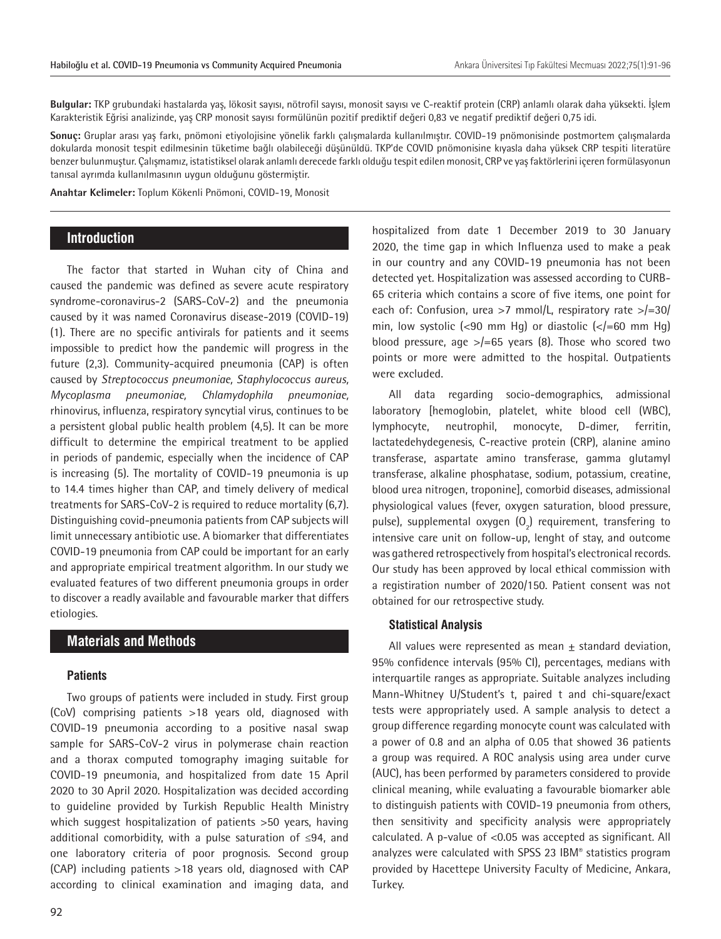**Bulgular:** TKP grubundaki hastalarda yaş, lökosit sayısı, nötrofil sayısı, monosit sayısı ve C-reaktif protein (CRP) anlamlı olarak daha yüksekti. İşlem Karakteristik Eğrisi analizinde, yaş CRP monosit sayısı formülünün pozitif prediktif değeri 0,83 ve negatif prediktif değeri 0,75 idi.

**Sonuç:** Gruplar arası yaş farkı, pnömoni etiyolojisine yönelik farklı çalışmalarda kullanılmıştır. COVID-19 pnömonisinde postmortem çalışmalarda dokularda monosit tespit edilmesinin tüketime bağlı olabileceği düşünüldü. TKP'de COVID pnömonisine kıyasla daha yüksek CRP tespiti literatüre benzer bulunmuştur. Çalışmamız, istatistiksel olarak anlamlı derecede farklı olduğu tespit edilen monosit, CRP ve yaş faktörlerini içeren formülasyonun tanısal ayrımda kullanılmasının uygun olduğunu göstermiştir.

**Anahtar Kelimeler:** Toplum Kökenli Pnömoni, COVID-19, Monosit

## **Introduction**

The factor that started in Wuhan city of China and caused the pandemic was defined as severe acute respiratory syndrome-coronavirus-2 (SARS-CoV-2) and the pneumonia caused by it was named Coronavirus disease-2019 (COVID-19) (1). There are no specific antivirals for patients and it seems impossible to predict how the pandemic will progress in the future (2,3). Community-acquired pneumonia (CAP) is often caused by *Streptococcus pneumoniae, Staphylococcus aureus, Mycoplasma pneumoniae, Chlamydophila pneumoniae,* rhinovirus, influenza, respiratory syncytial virus, continues to be a persistent global public health problem (4,5). It can be more difficult to determine the empirical treatment to be applied in periods of pandemic, especially when the incidence of CAP is increasing (5). The mortality of COVID-19 pneumonia is up to 14.4 times higher than CAP, and timely delivery of medical treatments for SARS-CoV-2 is required to reduce mortality (6,7). Distinguishing covid-pneumonia patients from CAP subjects will limit unnecessary antibiotic use. A biomarker that differentiates COVID-19 pneumonia from CAP could be important for an early and appropriate empirical treatment algorithm. In our study we evaluated features of two different pneumonia groups in order to discover a readly available and favourable marker that differs etiologies.

## **Materials and Methods**

#### **Patients**

Two groups of patients were included in study. First group (CoV) comprising patients >18 years old, diagnosed with COVID-19 pneumonia according to a positive nasal swap sample for SARS-CoV-2 virus in polymerase chain reaction and a thorax computed tomography imaging suitable for COVID-19 pneumonia, and hospitalized from date 15 April 2020 to 30 April 2020. Hospitalization was decided according to guideline provided by Turkish Republic Health Ministry which suggest hospitalization of patients >50 years, having additional comorbidity, with a pulse saturation of ≤94, and one laboratory criteria of poor prognosis. Second group (CAP) including patients >18 years old, diagnosed with CAP according to clinical examination and imaging data, and

hospitalized from date 1 December 2019 to 30 January 2020, the time gap in which Influenza used to make a peak in our country and any COVID-19 pneumonia has not been detected yet. Hospitalization was assessed according to CURB-65 criteria which contains a score of five items, one point for each of: Confusion, urea >7 mmol/L, respiratory rate >/=30/ min, low systolic (<90 mm Hg) or diastolic (</=60 mm Hg) blood pressure, age  $>=$  65 years (8). Those who scored two points or more were admitted to the hospital. Outpatients were excluded.

All data regarding socio-demographics, admissional laboratory [hemoglobin, platelet, white blood cell (WBC), lymphocyte, neutrophil, monocyte, D-dimer, ferritin, lactatedehydegenesis, C-reactive protein (CRP), alanine amino transferase, aspartate amino transferase, gamma glutamyl transferase, alkaline phosphatase, sodium, potassium, creatine, blood urea nitrogen, troponine], comorbid diseases, admissional physiological values (fever, oxygen saturation, blood pressure, pulse), supplemental oxygen  $(0<sub>2</sub>)$  requirement, transfering to intensive care unit on follow-up, lenght of stay, and outcome was gathered retrospectively from hospital's electronical records. Our study has been approved by local ethical commission with a registiration number of 2020/150. Patient consent was not obtained for our retrospective study.

#### **Statistical Analysis**

All values were represented as mean  $\pm$  standard deviation, 95% confidence intervals (95% CI), percentages, medians with interquartile ranges as appropriate. Suitable analyzes including Mann-Whitney U/Student's t, paired t and chi-square/exact tests were appropriately used. A sample analysis to detect a group difference regarding monocyte count was calculated with a power of 0.8 and an alpha of 0.05 that showed 36 patients a group was required. A ROC analysis using area under curve (AUC), has been performed by parameters considered to provide clinical meaning, while evaluating a favourable biomarker able to distinguish patients with COVID-19 pneumonia from others, then sensitivity and specificity analysis were appropriately calculated. A p-value of <0.05 was accepted as significant. All analyzes were calculated with SPSS 23 IBM® statistics program provided by Hacettepe University Faculty of Medicine, Ankara, Turkey.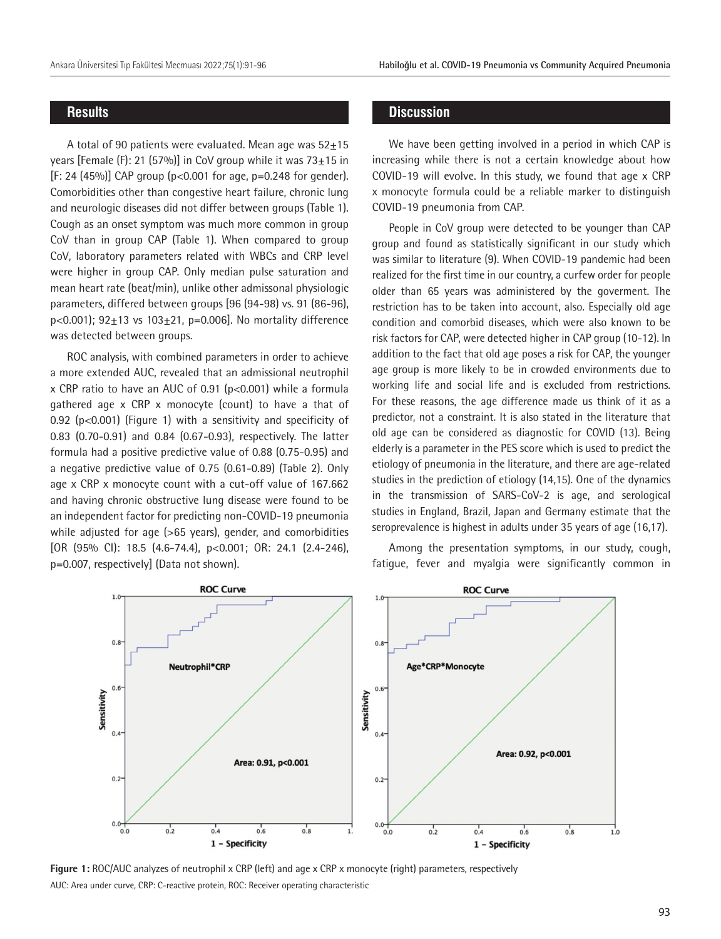## **Results**

A total of 90 patients were evaluated. Mean age was  $52+15$ years [Female (F): 21 (57%)] in CoV group while it was  $73\pm15$  in  $[F: 24 (45%)]$  CAP group (p<0.001 for age, p=0.248 for gender). Comorbidities other than congestive heart failure, chronic lung and neurologic diseases did not differ between groups (Table 1). Cough as an onset symptom was much more common in group CoV than in group CAP (Table 1). When compared to group CoV, laboratory parameters related with WBCs and CRP level were higher in group CAP. Only median pulse saturation and mean heart rate (beat/min), unlike other admissonal physiologic parameters, differed between groups [96 (94-98) vs. 91 (86-96),  $p < 0.001$ ); 92 $\pm$ 13 vs 103 $\pm$ 21, p=0.006]. No mortality difference was detected between groups.

ROC analysis, with combined parameters in order to achieve a more extended AUC, revealed that an admissional neutrophil x CRP ratio to have an AUC of 0.91 ( $p<0.001$ ) while a formula gathered age x CRP x monocyte (count) to have a that of 0.92 ( $p<0.001$ ) (Figure 1) with a sensitivity and specificity of 0.83 (0.70-0.91) and 0.84 (0.67-0.93), respectively. The latter formula had a positive predictive value of 0.88 (0.75-0.95) and a negative predictive value of 0.75 (0.61-0.89) (Table 2). Only age x CRP x monocyte count with a cut-off value of 167.662 and having chronic obstructive lung disease were found to be an independent factor for predicting non-COVID-19 pneumonia while adjusted for age (>65 years), gender, and comorbidities [OR (95% CI): 18.5 (4.6-74.4), p<0.001; OR: 24.1 (2.4-246), p=0.007, respectively] (Data not shown).

## **Discussion**

We have been getting involved in a period in which CAP is increasing while there is not a certain knowledge about how COVID-19 will evolve. In this study, we found that age x CRP x monocyte formula could be a reliable marker to distinguish COVID-19 pneumonia from CAP.

People in CoV group were detected to be younger than CAP group and found as statistically significant in our study which was similar to literature (9). When COVID-19 pandemic had been realized for the first time in our country, a curfew order for people older than 65 years was administered by the goverment. The restriction has to be taken into account, also. Especially old age condition and comorbid diseases, which were also known to be risk factors for CAP, were detected higher in CAP group (10-12). In addition to the fact that old age poses a risk for CAP, the younger age group is more likely to be in crowded environments due to working life and social life and is excluded from restrictions. For these reasons, the age difference made us think of it as a predictor, not a constraint. It is also stated in the literature that old age can be considered as diagnostic for COVID (13). Being elderly is a parameter in the PES score which is used to predict the etiology of pneumonia in the literature, and there are age-related studies in the prediction of etiology (14,15). One of the dynamics in the transmission of SARS-CoV-2 is age, and serological studies in England, Brazil, Japan and Germany estimate that the seroprevalence is highest in adults under 35 years of age (16,17).

Among the presentation symptoms, in our study, cough, fatigue, fever and myalgia were significantly common in



**Figure 1:** ROC/AUC analyzes of neutrophil x CRP (left) and age x CRP x monocyte (right) parameters, respectively AUC: Area under curve, CRP: C-reactive protein, ROC: Receiver operating characteristic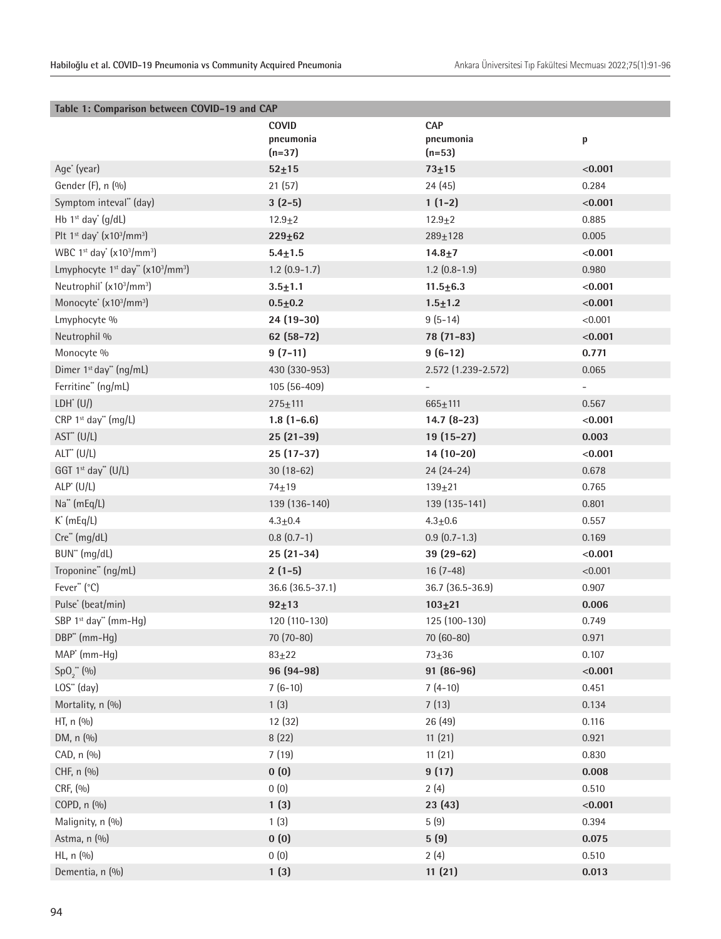| Table 1: Comparison between COVID-19 and CAP                         |                  |                     |              |  |  |
|----------------------------------------------------------------------|------------------|---------------------|--------------|--|--|
|                                                                      | <b>COVID</b>     | <b>CAP</b>          |              |  |  |
|                                                                      | pneumonia        | pneumonia           | $\mathsf{p}$ |  |  |
|                                                                      | $(n=37)$         | $(n=53)$            |              |  |  |
| Age <sup>*</sup> (year)                                              | $52 + 15$        | $73 + 15$           | < 0.001      |  |  |
| Gender (F), n (%)                                                    | 21(57)           | 24(45)              | 0.284        |  |  |
| Symptom inteval" (day)                                               | $3(2-5)$         | $1(1-2)$            | < 0.001      |  |  |
| Hb $1st$ day <sup>*</sup> (g/dL)                                     | $12.9 + 2$       | $12.9 + 2$          | 0.885        |  |  |
| Plt $1st$ day' (x10 <sup>3</sup> /mm <sup>3</sup> )                  | $229 + 62$       | $289 + 128$         | 0.005        |  |  |
| WBC 1st day' (x103/mm <sup>3</sup> )                                 | $5.4 + 1.5$      | $14.8 + 7$          | < 0.001      |  |  |
| Lmyphocyte 1 <sup>st</sup> day" (x10 <sup>3</sup> /mm <sup>3</sup> ) | $1.2$ (0.9-1.7)  | $1.2$ (0.8-1.9)     | 0.980        |  |  |
| Neutrophil* (x103/mm <sup>3</sup> )                                  | $3.5 + 1.1$      | $11.5 \pm 6.3$      | < 0.001      |  |  |
| Monocyte <sup>*</sup> (x10 <sup>3</sup> /mm <sup>3</sup> )           | $0.5 + 0.2$      | $1.5 + 1.2$         | < 0.001      |  |  |
| Lmyphocyte %                                                         | 24 (19-30)       | $9(5-14)$           | < 0.001      |  |  |
| Neutrophil %                                                         | $62(58-72)$      | 78 (71-83)          | < 0.001      |  |  |
| Monocyte %                                                           | $9(7-11)$        | $9(6-12)$           | 0.771        |  |  |
| Dimer 1 <sup>st</sup> day" (ng/mL)                                   | 430 (330-953)    | 2.572 (1.239-2.572) | 0.065        |  |  |
| Ferritine" (ng/mL)                                                   | 105 (56-409)     |                     | Ξ.           |  |  |
| $LDH^*(U)$                                                           | $275 + 111$      | $665 \pm 111$       | 0.567        |  |  |
| CRP 1st day" (mg/L)                                                  | $1.8(1-6.6)$     | $14.7(8-23)$        | < 0.001      |  |  |
| $AST^*(U/L)$                                                         | $25(21-39)$      | 19 (15-27)          | 0.003        |  |  |
| $ALT^{\ast}$ (U/L)                                                   | $25(17-37)$      | 14 (10-20)          | < 0.001      |  |  |
| GGT 1 <sup>st</sup> day" (U/L)                                       | $30(18-62)$      | $24(24-24)$         | 0.678        |  |  |
| $ALP^*(U/L)$                                                         | $74 + 19$        | $139 + 21$          | 0.765        |  |  |
| Na" (mEq/L)                                                          | 139 (136-140)    | 139 (135-141)       | 0.801        |  |  |
| $K^{\cdot}$ (mEq/L)                                                  | $4.3 \pm 0.4$    | $4.3 + 0.6$         | 0.557        |  |  |
| Cre** (mg/dL)                                                        | $0.8(0.7-1)$     | $0.9(0.7-1.3)$      | 0.169        |  |  |
| BUN" (mg/dL)                                                         | $25(21-34)$      | 39 (29-62)          | < 0.001      |  |  |
| Troponine" (ng/mL)                                                   | $2(1-5)$         | $16(7-48)$          | < 0.001      |  |  |
| Fever" (°C)                                                          | 36.6 (36.5-37.1) | 36.7 (36.5-36.9)    | 0.907        |  |  |
| Pulse* (beat/min)                                                    | $92 + 13$        | $103 + 21$          | 0.006        |  |  |
| SBP 1st day" (mm-Hq)                                                 | 120 (110-130)    | 125 (100-130)       | 0.749        |  |  |
| DBP" (mm-Hg)                                                         | 70 (70-80)       | 70 (60-80)          | 0.971        |  |  |
| MAP <sup>*</sup> (mm-Hg)                                             | $83 + 22$        | $73 + 36$           | 0.107        |  |  |
| $SpO2**(\%)$                                                         | 96 (94-98)       | 91 (86-96)          | < 0.001      |  |  |
| LOS" (day)                                                           | $7(6-10)$        | $7(4-10)$           | 0.451        |  |  |
| Mortality, n (%)                                                     | 1(3)             | 7(13)               | 0.134        |  |  |
| HT, n (%)                                                            | 12 (32)          | 26 (49)             | 0.116        |  |  |
| DM, n (%)                                                            | 8(22)            | 11(21)              | 0.921        |  |  |
| CAD, n (%)                                                           | 7(19)            | 11(21)              | 0.830        |  |  |
| CHF, n (%)                                                           | 0(0)             | 9(17)               | 0.008        |  |  |
| CRF, (%)                                                             | 0(0)             | 2(4)                | 0.510        |  |  |
| COPD, n (%)                                                          | 1(3)             | 23(43)              | < 0.001      |  |  |
| Malignity, n (%)                                                     | 1(3)             | 5(9)                | 0.394        |  |  |
| Astma, n (%)                                                         | 0(0)             | 5(9)                | 0.075        |  |  |
| HL, n (%)                                                            | 0(0)             | 2(4)                | 0.510        |  |  |
| Dementia, n (%)                                                      | 1(3)             | 11(21)              | 0.013        |  |  |
|                                                                      |                  |                     |              |  |  |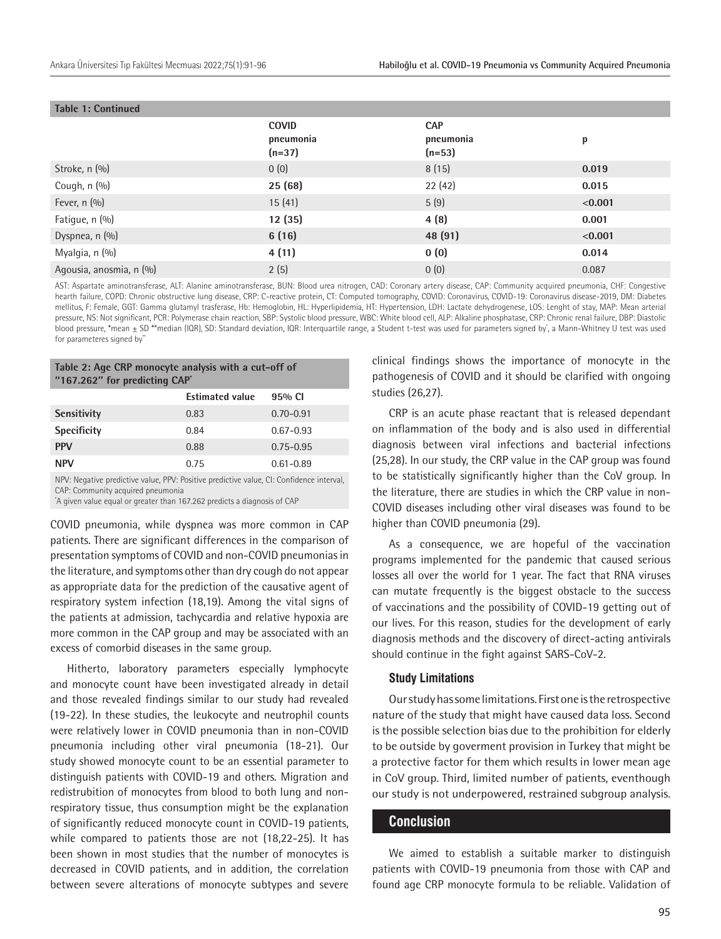| <b>Table 1: Continued</b> |                                       |                                     |         |  |
|---------------------------|---------------------------------------|-------------------------------------|---------|--|
|                           | <b>COVID</b><br>pneumonia<br>$(n=37)$ | <b>CAP</b><br>pneumonia<br>$(n=53)$ | p       |  |
| Stroke, n (%)             | 0(0)                                  | 8(15)                               | 0.019   |  |
| Cough, n (%)              | 25(68)                                | 22(42)                              | 0.015   |  |
| Fever, n (%)              | 15(41)                                | 5(9)                                | < 0.001 |  |
| Fatigue, n (%)            | 12(35)                                | 4(8)                                | 0.001   |  |
| Dyspnea, n (%)            | 6(16)                                 | 48 (91)                             | < 0.001 |  |
| Myalgia, n (%)            | 4(11)                                 | 0(0)                                | 0.014   |  |
| Agousia, anosmia, n (%)   | 2(5)                                  | 0(0)                                | 0.087   |  |

AST: Aspartate aminotransferase, ALT: Alanine aminotransferase, BUN: Blood urea nitrogen, CAD: Coronary artery disease, CAP: Community acquired pneumonia, CHF: Congestive hearth failure, COPD: Chronic obstructive lung disease, CRP: C-reactive protein, CT: Computed tomography, COVID: Coronavirus, COVID-19: Coronavirus disease-2019, DM: Diabetes mellitus, F: Female, GGT: Gamma glutamyl trasferase, Hb: Hemoglobin, HL: Hyperlipidemia, HT: Hypertension, LDH: Lactate dehydrogenese, LOS: Lenght of stay, MAP: Mean arterial pressure, NS: Not significant, PCR: Polymerase chain reaction, SBP: Systolic blood pressure, WBC: White blood cell, ALP: Alkaline phosphatase, CRP: Chronic renal failure, DBP: Diastolic blood pressure, \*mean ± SD \*\*median (IQR), SD: Standard deviation, IQR: Interquartile range, a Student t-test was used for parameters signed by, a Mann-Whitney U test was used for parameteres signed by"

| Table 2: Age CRP monocyte analysis with a cut-off of<br>"167.262" for predicting CAP' |               |  |  |  |
|---------------------------------------------------------------------------------------|---------------|--|--|--|
| <b>Estimated value</b>                                                                | 95% CI        |  |  |  |
| 0.83                                                                                  | $0.70 - 0.91$ |  |  |  |
| 0.84                                                                                  | $0.67 - 0.93$ |  |  |  |
| 0.88                                                                                  | $0.75 - 0.95$ |  |  |  |
| 0.75                                                                                  | $0.61 - 0.89$ |  |  |  |
|                                                                                       |               |  |  |  |

NPV: Negative predictive value, PPV: Positive predictive value, CI: Confidence interval, CAP: Community acquired pneumonia

\* A given value equal or greater than 167.262 predicts a diagnosis of CAP

COVID pneumonia, while dyspnea was more common in CAP patients. There are significant differences in the comparison of presentation symptoms of COVID and non-COVID pneumonias in the literature, and symptoms other than dry cough do not appear as appropriate data for the prediction of the causative agent of respiratory system infection (18,19). Among the vital signs of the patients at admission, tachycardia and relative hypoxia are more common in the CAP group and may be associated with an excess of comorbid diseases in the same group.

Hitherto, laboratory parameters especially lymphocyte and monocyte count have been investigated already in detail and those revealed findings similar to our study had revealed (19-22). In these studies, the leukocyte and neutrophil counts were relatively lower in COVID pneumonia than in non-COVID pneumonia including other viral pneumonia (18-21). Our study showed monocyte count to be an essential parameter to distinguish patients with COVID-19 and others. Migration and redistrubition of monocytes from blood to both lung and nonrespiratory tissue, thus consumption might be the explanation of significantly reduced monocyte count in COVID-19 patients, while compared to patients those are not (18,22-25). It has been shown in most studies that the number of monocytes is decreased in COVID patients, and in addition, the correlation between severe alterations of monocyte subtypes and severe

clinical findings shows the importance of monocyte in the pathogenesis of COVID and it should be clarified with ongoing studies (26,27).

CRP is an acute phase reactant that is released dependant on inflammation of the body and is also used in differential diagnosis between viral infections and bacterial infections (25,28). In our study, the CRP value in the CAP group was found to be statistically significantly higher than the CoV group. In the literature, there are studies in which the CRP value in non-COVID diseases including other viral diseases was found to be higher than COVID pneumonia (29).

As a consequence, we are hopeful of the vaccination programs implemented for the pandemic that caused serious losses all over the world for 1 year. The fact that RNA viruses can mutate frequently is the biggest obstacle to the success of vaccinations and the possibility of COVID-19 getting out of our lives. For this reason, studies for the development of early diagnosis methods and the discovery of direct-acting antivirals should continue in the fight against SARS-CoV-2.

#### **Study Limitations**

Our study has some limitations. First one is the retrospective nature of the study that might have caused data loss. Second is the possible selection bias due to the prohibition for elderly to be outside by goverment provision in Turkey that might be a protective factor for them which results in lower mean age in CoV group. Third, limited number of patients, eventhough our study is not underpowered, restrained subgroup analysis.

## **Conclusion**

We aimed to establish a suitable marker to distinguish patients with COVID-19 pneumonia from those with CAP and found age CRP monocyte formula to be reliable. Validation of